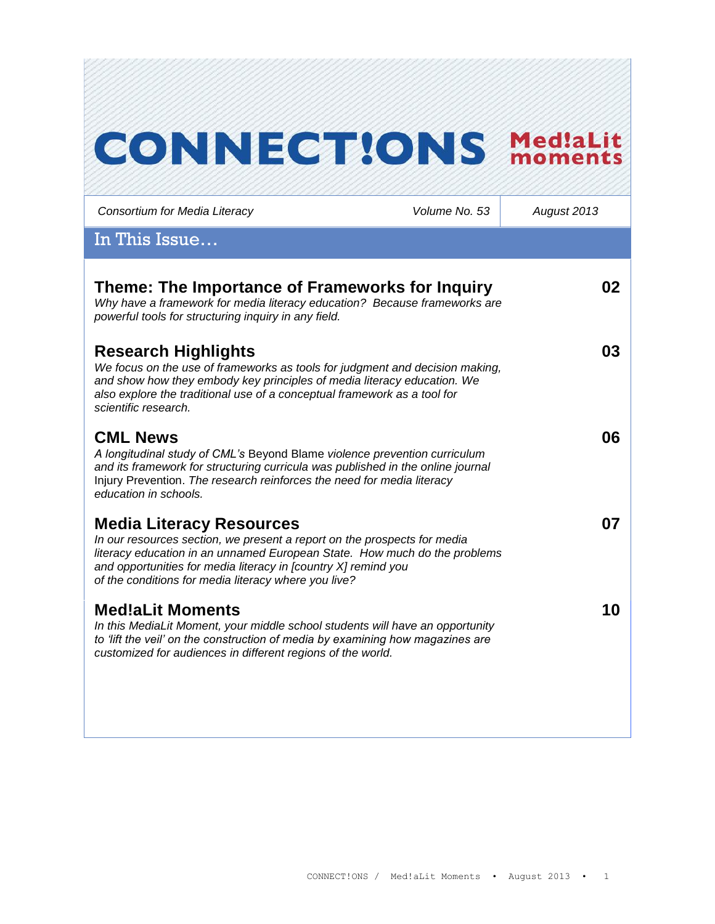# **CONNECT!ONS Med!aLit**

| Consortium for Media Literacy                                                                                                                                                                                                                                                                                      | Volume No. 53 | August 2013 |
|--------------------------------------------------------------------------------------------------------------------------------------------------------------------------------------------------------------------------------------------------------------------------------------------------------------------|---------------|-------------|
| In This Issue                                                                                                                                                                                                                                                                                                      |               |             |
| Theme: The Importance of Frameworks for Inquiry<br>Why have a framework for media literacy education? Because frameworks are<br>powerful tools for structuring inquiry in any field.                                                                                                                               |               | 02          |
| <b>Research Highlights</b><br>We focus on the use of frameworks as tools for judgment and decision making,<br>and show how they embody key principles of media literacy education. We<br>also explore the traditional use of a conceptual framework as a tool for<br>scientific research.                          |               | 03          |
| <b>CML News</b><br>A longitudinal study of CML's Beyond Blame violence prevention curriculum<br>and its framework for structuring curricula was published in the online journal<br>Injury Prevention. The research reinforces the need for media literacy<br>education in schools.                                 |               | 06          |
| <b>Media Literacy Resources</b><br>In our resources section, we present a report on the prospects for media<br>literacy education in an unnamed European State. How much do the problems<br>and opportunities for media literacy in [country X] remind you<br>of the conditions for media literacy where you live? |               | 07          |
| <b>Med!aLit Moments</b><br>In this MediaLit Moment, your middle school students will have an opportunity<br>to 'lift the veil' on the construction of media by examining how magazines are<br>customized for audiences in different regions of the world.                                                          |               | 10          |
|                                                                                                                                                                                                                                                                                                                    |               |             |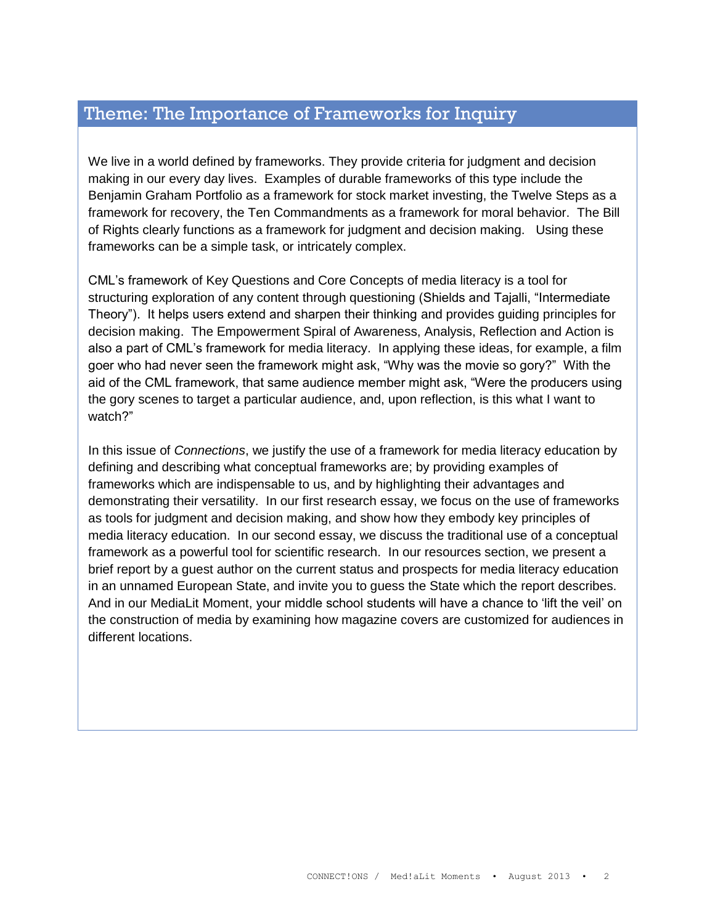## Theme: The Importance of Frameworks for Inquiry

We live in a world defined by frameworks. They provide criteria for judgment and decision making in our every day lives. Examples of durable frameworks of this type include the Benjamin Graham Portfolio as a framework for stock market investing, the Twelve Steps as a framework for recovery, the Ten Commandments as a framework for moral behavior. The Bill of Rights clearly functions as a framework for judgment and decision making. Using these frameworks can be a simple task, or intricately complex.

CML's framework of Key Questions and Core Concepts of media literacy is a tool for structuring exploration of any content through questioning (Shields and Tajalli, "Intermediate Theory"). It helps users extend and sharpen their thinking and provides guiding principles for decision making. The Empowerment Spiral of Awareness, Analysis, Reflection and Action is also a part of CML's framework for media literacy. In applying these ideas, for example, a film goer who had never seen the framework might ask, "Why was the movie so gory?" With the aid of the CML framework, that same audience member might ask, "Were the producers using the gory scenes to target a particular audience, and, upon reflection, is this what I want to watch?"

In this issue of *Connections*, we justify the use of a framework for media literacy education by defining and describing what conceptual frameworks are; by providing examples of frameworks which are indispensable to us, and by highlighting their advantages and demonstrating their versatility. In our first research essay, we focus on the use of frameworks as tools for judgment and decision making, and show how they embody key principles of media literacy education. In our second essay, we discuss the traditional use of a conceptual framework as a powerful tool for scientific research. In our resources section, we present a brief report by a guest author on the current status and prospects for media literacy education in an unnamed European State, and invite you to guess the State which the report describes. And in our MediaLit Moment, your middle school students will have a chance to 'lift the veil' on the construction of media by examining how magazine covers are customized for audiences in different locations.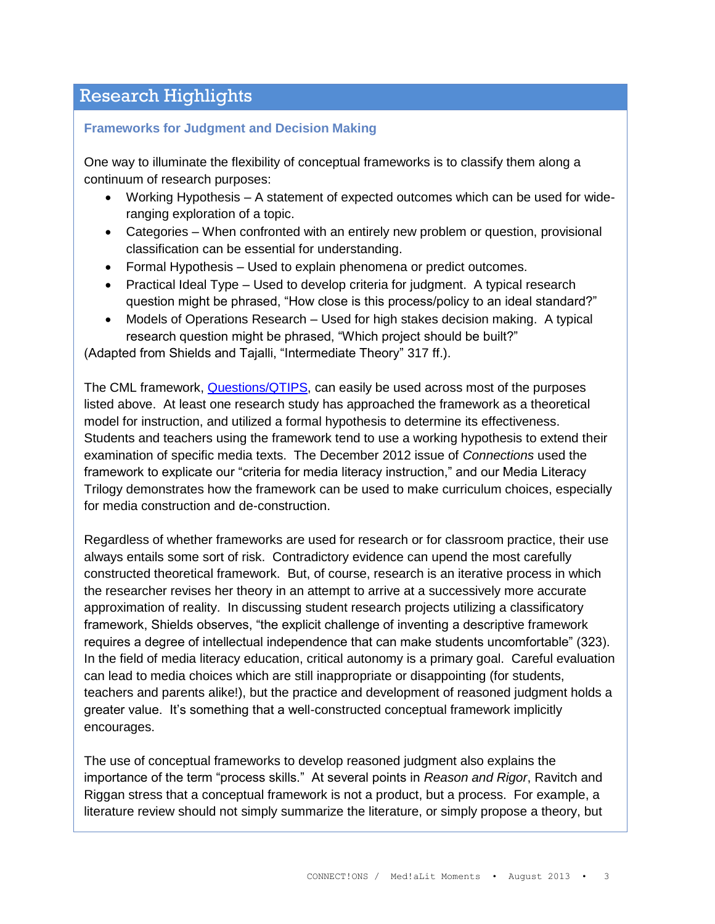# Research Highlights

#### **Frameworks for Judgment and Decision Making**

One way to illuminate the flexibility of conceptual frameworks is to classify them along a continuum of research purposes:

- Working Hypothesis A statement of expected outcomes which can be used for wideranging exploration of a topic.
- Categories When confronted with an entirely new problem or question, provisional classification can be essential for understanding.
- Formal Hypothesis Used to explain phenomena or predict outcomes.
- Practical Ideal Type Used to develop criteria for judgment. A typical research question might be phrased, "How close is this process/policy to an ideal standard?"
- Models of Operations Research Used for high stakes decision making. A typical research question might be phrased, "Which project should be built?"

(Adapted from Shields and Tajalli, "Intermediate Theory" 317 ff.).

The CML framework, [Questions/QTIPS,](http://www.medialit.org/questionstips-qtips) can easily be used across most of the purposes listed above. At least one research study has approached the framework as a theoretical model for instruction, and utilized a formal hypothesis to determine its effectiveness. Students and teachers using the framework tend to use a working hypothesis to extend their examination of specific media texts. The December 2012 issue of *Connections* used the framework to explicate our "criteria for media literacy instruction," and our Media Literacy Trilogy demonstrates how the framework can be used to make curriculum choices, especially for media construction and de-construction.

Regardless of whether frameworks are used for research or for classroom practice, their use always entails some sort of risk. Contradictory evidence can upend the most carefully constructed theoretical framework. But, of course, research is an iterative process in which the researcher revises her theory in an attempt to arrive at a successively more accurate approximation of reality. In discussing student research projects utilizing a classificatory framework, Shields observes, "the explicit challenge of inventing a descriptive framework requires a degree of intellectual independence that can make students uncomfortable" (323). In the field of media literacy education, critical autonomy is a primary goal. Careful evaluation can lead to media choices which are still inappropriate or disappointing (for students, teachers and parents alike!), but the practice and development of reasoned judgment holds a greater value. It's something that a well-constructed conceptual framework implicitly encourages.

The use of conceptual frameworks to develop reasoned judgment also explains the importance of the term "process skills." At several points in *Reason and Rigor*, Ravitch and Riggan stress that a conceptual framework is not a product, but a process. For example, a literature review should not simply summarize the literature, or simply propose a theory, but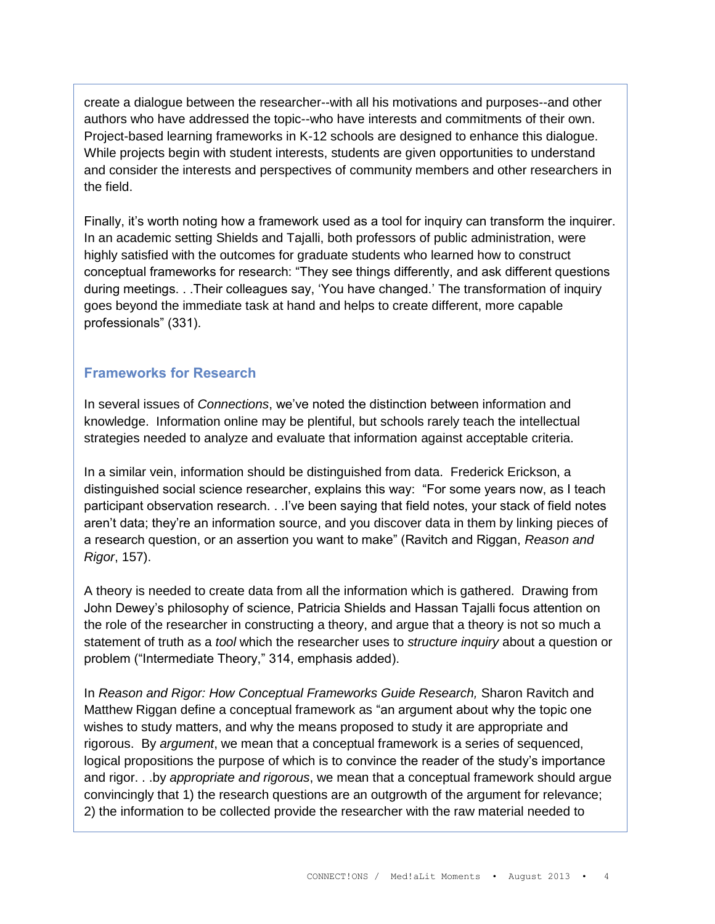create a dialogue between the researcher--with all his motivations and purposes--and other authors who have addressed the topic--who have interests and commitments of their own. Project-based learning frameworks in K-12 schools are designed to enhance this dialogue. While projects begin with student interests, students are given opportunities to understand and consider the interests and perspectives of community members and other researchers in the field.

Finally, it's worth noting how a framework used as a tool for inquiry can transform the inquirer. In an academic setting Shields and Tajalli, both professors of public administration, were highly satisfied with the outcomes for graduate students who learned how to construct conceptual frameworks for research: "They see things differently, and ask different questions during meetings. . .Their colleagues say, 'You have changed.' The transformation of inquiry goes beyond the immediate task at hand and helps to create different, more capable professionals" (331).

### **Frameworks for Research**

In several issues of *Connections*, we've noted the distinction between information and knowledge. Information online may be plentiful, but schools rarely teach the intellectual strategies needed to analyze and evaluate that information against acceptable criteria.

In a similar vein, information should be distinguished from data. Frederick Erickson, a distinguished social science researcher, explains this way: "For some years now, as I teach participant observation research. . .I've been saying that field notes, your stack of field notes aren't data; they're an information source, and you discover data in them by linking pieces of a research question, or an assertion you want to make" (Ravitch and Riggan, *Reason and Rigor*, 157).

A theory is needed to create data from all the information which is gathered. Drawing from John Dewey's philosophy of science, Patricia Shields and Hassan Tajalli focus attention on the role of the researcher in constructing a theory, and argue that a theory is not so much a statement of truth as a *tool* which the researcher uses to *structure inquiry* about a question or problem ("Intermediate Theory," 314, emphasis added).

In *Reason and Rigor: How Conceptual Frameworks Guide Research,* Sharon Ravitch and Matthew Riggan define a conceptual framework as "an argument about why the topic one wishes to study matters, and why the means proposed to study it are appropriate and rigorous. By *argument*, we mean that a conceptual framework is a series of sequenced, logical propositions the purpose of which is to convince the reader of the study's importance and rigor. . .by *appropriate and rigorous*, we mean that a conceptual framework should argue convincingly that 1) the research questions are an outgrowth of the argument for relevance; 2) the information to be collected provide the researcher with the raw material needed to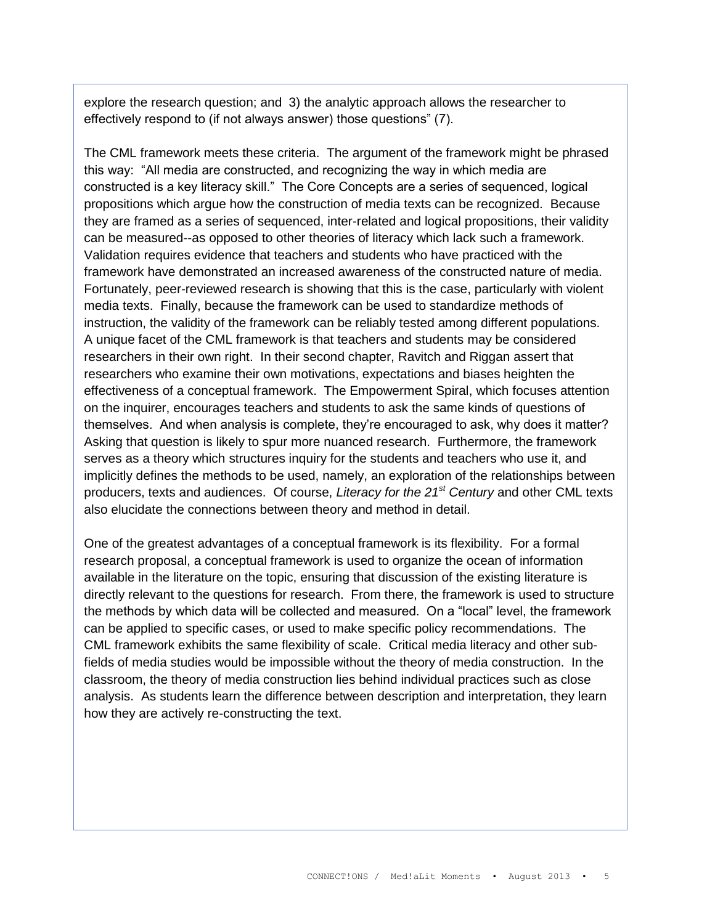explore the research question; and 3) the analytic approach allows the researcher to effectively respond to (if not always answer) those questions" (7).

The CML framework meets these criteria. The argument of the framework might be phrased this way: "All media are constructed, and recognizing the way in which media are constructed is a key literacy skill." The Core Concepts are a series of sequenced, logical propositions which argue how the construction of media texts can be recognized. Because they are framed as a series of sequenced, inter-related and logical propositions, their validity can be measured--as opposed to other theories of literacy which lack such a framework. Validation requires evidence that teachers and students who have practiced with the framework have demonstrated an increased awareness of the constructed nature of media. Fortunately, peer-reviewed research is showing that this is the case, particularly with violent media texts. Finally, because the framework can be used to standardize methods of instruction, the validity of the framework can be reliably tested among different populations. A unique facet of the CML framework is that teachers and students may be considered researchers in their own right. In their second chapter, Ravitch and Riggan assert that researchers who examine their own motivations, expectations and biases heighten the effectiveness of a conceptual framework. The Empowerment Spiral, which focuses attention on the inquirer, encourages teachers and students to ask the same kinds of questions of themselves. And when analysis is complete, they're encouraged to ask, why does it matter? Asking that question is likely to spur more nuanced research. Furthermore, the framework serves as a theory which structures inquiry for the students and teachers who use it, and implicitly defines the methods to be used, namely, an exploration of the relationships between producers, texts and audiences. Of course, *Literacy for the 21st Century* and other CML texts also elucidate the connections between theory and method in detail.

One of the greatest advantages of a conceptual framework is its flexibility. For a formal research proposal, a conceptual framework is used to organize the ocean of information available in the literature on the topic, ensuring that discussion of the existing literature is directly relevant to the questions for research. From there, the framework is used to structure the methods by which data will be collected and measured. On a "local" level, the framework can be applied to specific cases, or used to make specific policy recommendations. The CML framework exhibits the same flexibility of scale. Critical media literacy and other subfields of media studies would be impossible without the theory of media construction. In the classroom, the theory of media construction lies behind individual practices such as close analysis. As students learn the difference between description and interpretation, they learn how they are actively re-constructing the text.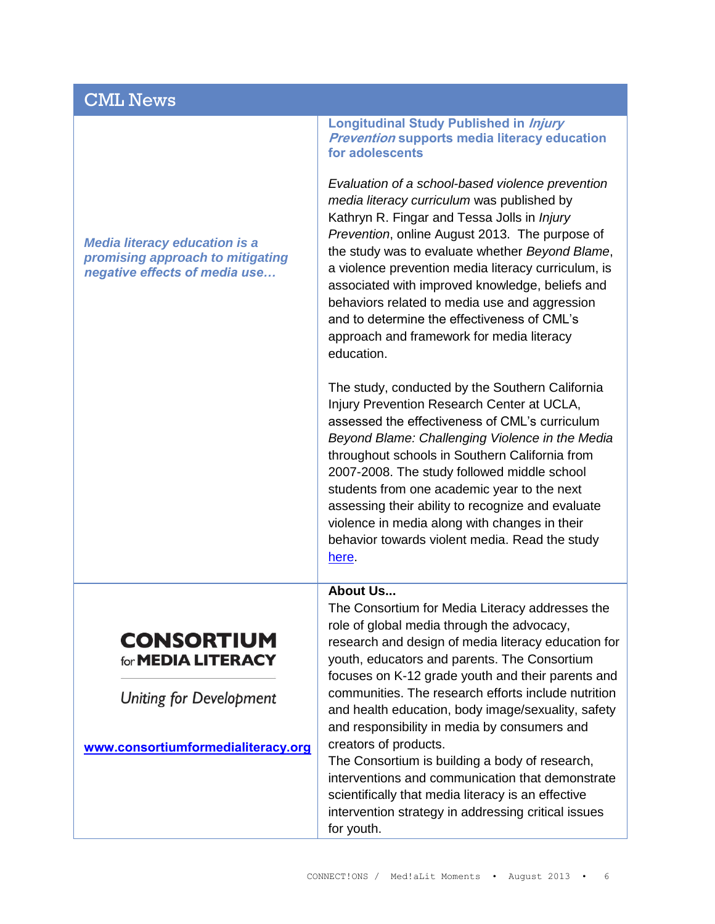## CML News

*Media literacy education is a promising approach to mitigating negative effects of media use…*

> **CONSORTIUM** for **MEDIA LITERACY**

> **Uniting for Development**

**Longitudinal Study Published in Injury Prevention supports media literacy education for adolescents**

*Evaluation of a school-based violence prevention media literacy curriculum* was published by Kathryn R. Fingar and Tessa Jolls in *Injury Prevention*, online August 2013. The purpose of the study was to evaluate whether *Beyond Blame*, a violence prevention media literacy curriculum, is associated with improved knowledge, beliefs and behaviors related to media use and aggression and to determine the effectiveness of CML's approach and framework for media literacy education.

The study, conducted by the Southern California Injury Prevention Research Center at UCLA, assessed the effectiveness of CML's curriculum *Beyond Blame: Challenging Violence in the Media* throughout schools in Southern California from 2007-2008. The study followed middle school students from one academic year to the next assessing their ability to recognize and evaluate violence in media along with changes in their behavior towards violent media. Read the study [here.](http://www.medialit.org/sites/default/files/Injury%20Prevention%20Journal%202013.pdf)

#### **About Us...**

**[www.consortiumformedialiteracy.org](http://www.consortiumformedialiteracy.org/)** The Consortium for Media Literacy addresses the role of global media through the advocacy, research and design of media literacy education for youth, educators and parents. The Consortium focuses on K-12 grade youth and their parents and communities. The research efforts include nutrition and health education, body image/sexuality, safety and responsibility in media by consumers and creators of products.

The Consortium is building a body of research, interventions and communication that demonstrate scientifically that media literacy is an effective intervention strategy in addressing critical issues for youth.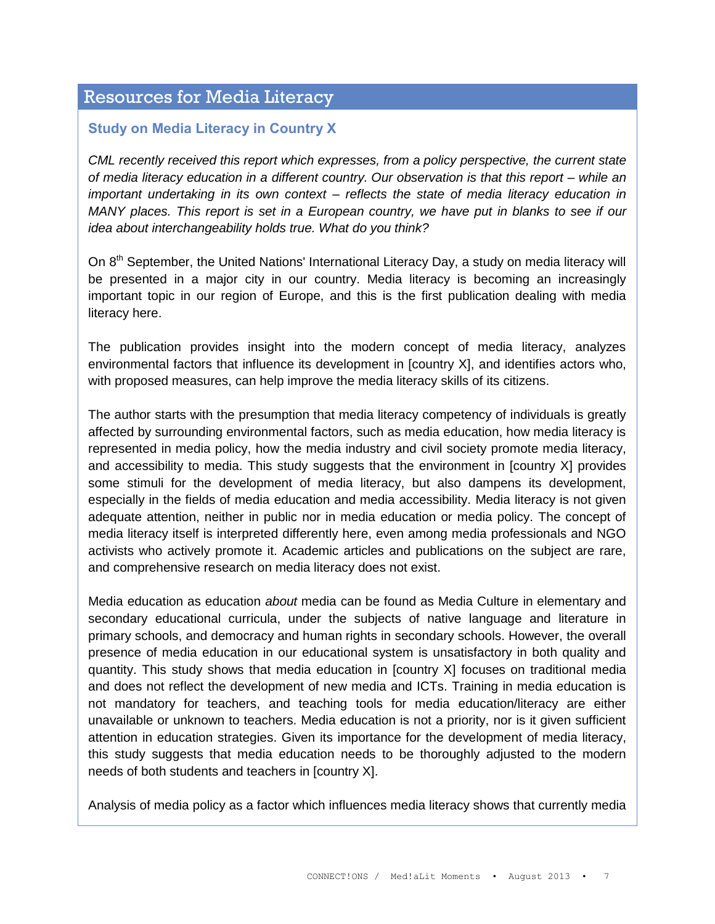## Resources for Media Literacy

### **Study on Media Literacy in Country X**

*CML recently received this report which expresses, from a policy perspective, the current state of media literacy education in a different country. Our observation is that this report – while an important undertaking in its own context – reflects the state of media literacy education in MANY places. This report is set in a European country, we have put in blanks to see if our idea about interchangeability holds true. What do you think?* 

On 8<sup>th</sup> September, the United Nations' International Literacy Day, a study on media literacy will be presented in a major city in our country. Media literacy is becoming an increasingly important topic in our region of Europe, and this is the first publication dealing with media literacy here.

The publication provides insight into the modern concept of media literacy, analyzes environmental factors that influence its development in [country X], and identifies actors who, with proposed measures, can help improve the media literacy skills of its citizens.

The author starts with the presumption that media literacy competency of individuals is greatly affected by surrounding environmental factors, such as media education, how media literacy is represented in media policy, how the media industry and civil society promote media literacy, and accessibility to media. This study suggests that the environment in [country X] provides some stimuli for the development of media literacy, but also dampens its development, especially in the fields of media education and media accessibility. Media literacy is not given adequate attention, neither in public nor in media education or media policy. The concept of media literacy itself is interpreted differently here, even among media professionals and NGO activists who actively promote it. Academic articles and publications on the subject are rare, and comprehensive research on media literacy does not exist.

Media education as education *about* media can be found as Media Culture in elementary and secondary educational curricula, under the subjects of native language and literature in primary schools, and democracy and human rights in secondary schools. However, the overall presence of media education in our educational system is unsatisfactory in both quality and quantity. This study shows that media education in [country X] focuses on traditional media and does not reflect the development of new media and ICTs. Training in media education is not mandatory for teachers, and teaching tools for media education/literacy are either unavailable or unknown to teachers. Media education is not a priority, nor is it given sufficient attention in education strategies. Given its importance for the development of media literacy, this study suggests that media education needs to be thoroughly adjusted to the modern needs of both students and teachers in [country X].

Analysis of media policy as a factor which influences media literacy shows that currently media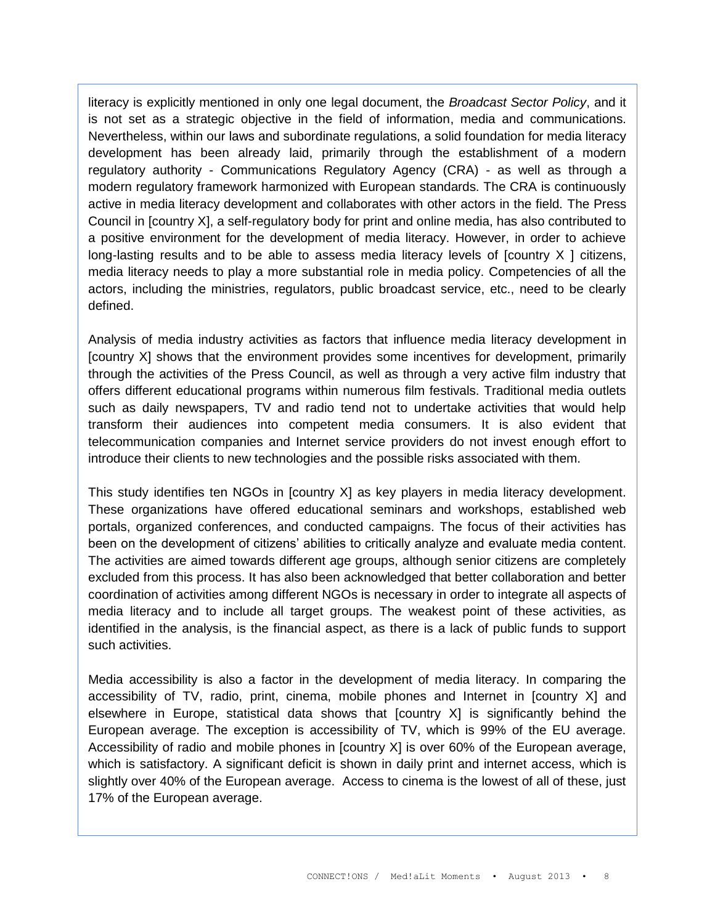literacy is explicitly mentioned in only one legal document, the *Broadcast Sector Policy*, and it is not set as a strategic objective in the field of information, media and communications. Nevertheless, within our laws and subordinate regulations, a solid foundation for media literacy development has been already laid, primarily through the establishment of a modern regulatory authority - Communications Regulatory Agency (CRA) - as well as through a modern regulatory framework harmonized with European standards. The CRA is continuously active in media literacy development and collaborates with other actors in the field. The Press Council in [country X], a self-regulatory body for print and online media, has also contributed to a positive environment for the development of media literacy. However, in order to achieve long-lasting results and to be able to assess media literacy levels of  $[county \times ]$  citizens, media literacy needs to play a more substantial role in media policy. Competencies of all the actors, including the ministries, regulators, public broadcast service, etc., need to be clearly defined.

Analysis of media industry activities as factors that influence media literacy development in [country X] shows that the environment provides some incentives for development, primarily through the activities of the Press Council, as well as through a very active film industry that offers different educational programs within numerous film festivals. Traditional media outlets such as daily newspapers, TV and radio tend not to undertake activities that would help transform their audiences into competent media consumers. It is also evident that telecommunication companies and Internet service providers do not invest enough effort to introduce their clients to new technologies and the possible risks associated with them.

This study identifies ten NGOs in [country X] as key players in media literacy development. These organizations have offered educational seminars and workshops, established web portals, organized conferences, and conducted campaigns. The focus of their activities has been on the development of citizens' abilities to critically analyze and evaluate media content. The activities are aimed towards different age groups, although senior citizens are completely excluded from this process. It has also been acknowledged that better collaboration and better coordination of activities among different NGOs is necessary in order to integrate all aspects of media literacy and to include all target groups. The weakest point of these activities, as identified in the analysis, is the financial aspect, as there is a lack of public funds to support such activities.

Media accessibility is also a factor in the development of media literacy. In comparing the accessibility of TV, radio, print, cinema, mobile phones and Internet in [country X] and elsewhere in Europe, statistical data shows that [country X] is significantly behind the European average. The exception is accessibility of TV, which is 99% of the EU average. Accessibility of radio and mobile phones in [country X] is over 60% of the European average, which is satisfactory. A significant deficit is shown in daily print and internet access, which is slightly over 40% of the European average. Access to cinema is the lowest of all of these, just 17% of the European average.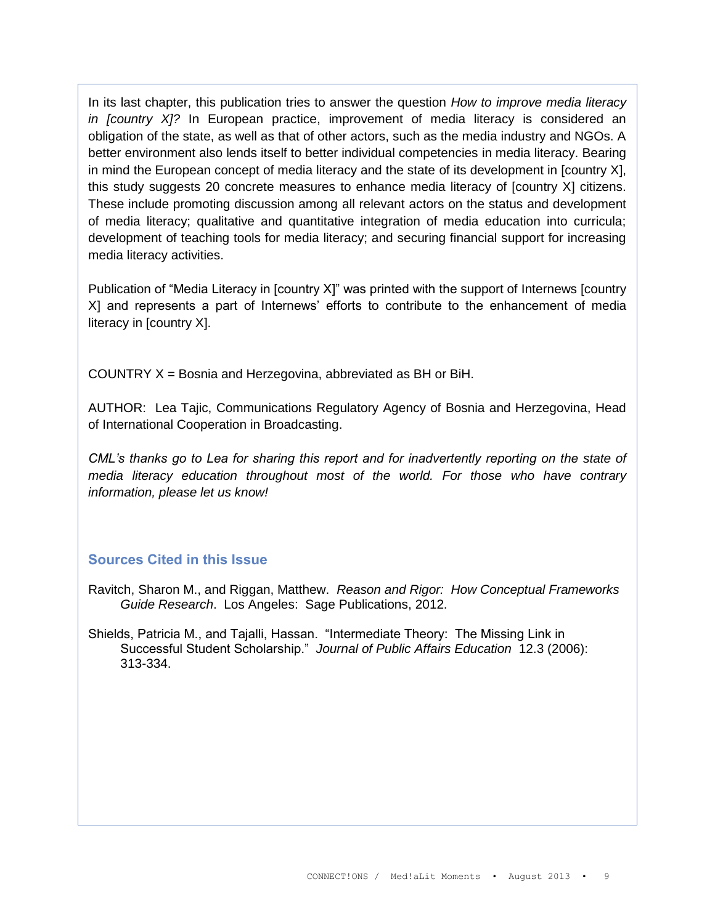In its last chapter, this publication tries to answer the question *How to improve media literacy in [country X]?* In European practice, improvement of media literacy is considered an obligation of the state, as well as that of other actors, such as the media industry and NGOs. A better environment also lends itself to better individual competencies in media literacy. Bearing in mind the European concept of media literacy and the state of its development in [country X], this study suggests 20 concrete measures to enhance media literacy of [country X] citizens. These include promoting discussion among all relevant actors on the status and development of media literacy; qualitative and quantitative integration of media education into curricula; development of teaching tools for media literacy; and securing financial support for increasing media literacy activities.

Publication of "Media Literacy in [country X]" was printed with the support of Internews [country X] and represents a part of Internews' efforts to contribute to the enhancement of media literacy in [country X].

COUNTRY X = Bosnia and Herzegovina, abbreviated as BH or BiH.

AUTHOR: Lea Tajic, Communications Regulatory Agency of Bosnia and Herzegovina, Head of International Cooperation in Broadcasting.

*CML's thanks go to Lea for sharing this report and for inadvertently reporting on the state of media literacy education throughout most of the world. For those who have contrary information, please let us know!*

### **Sources Cited in this Issue**

- Ravitch, Sharon M., and Riggan, Matthew. *Reason and Rigor: How Conceptual Frameworks Guide Research*. Los Angeles: Sage Publications, 2012.
- Shields, Patricia M., and Tajalli, Hassan. "Intermediate Theory: The Missing Link in Successful Student Scholarship." *Journal of Public Affairs Education* 12.3 (2006): 313-334.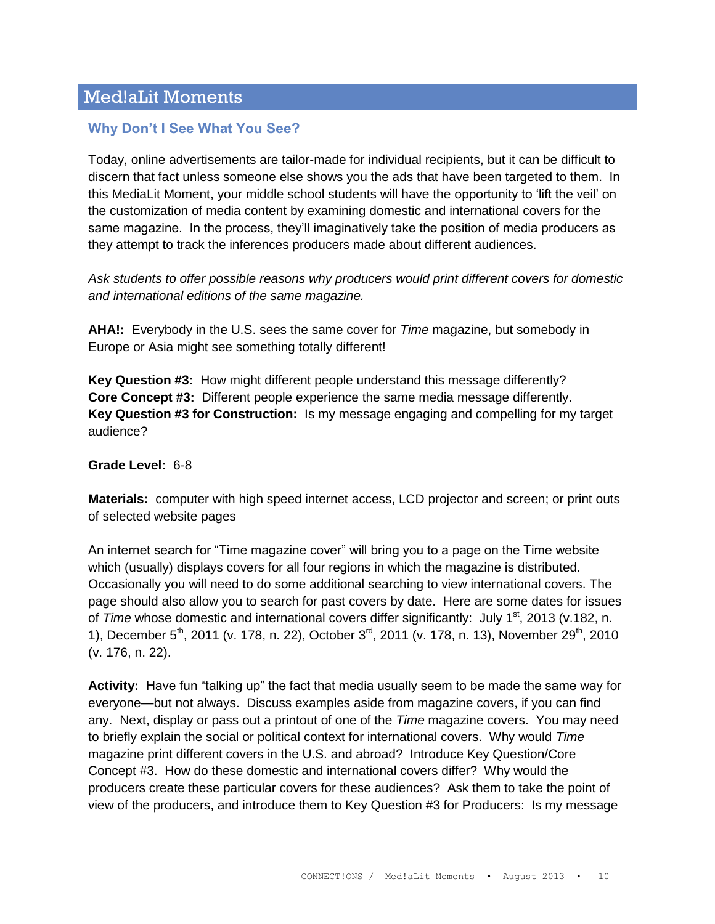# Med!aLit Moments

## **Why Don't I See What You See?**

Today, online advertisements are tailor-made for individual recipients, but it can be difficult to discern that fact unless someone else shows you the ads that have been targeted to them. In this MediaLit Moment, your middle school students will have the opportunity to 'lift the veil' on the customization of media content by examining domestic and international covers for the same magazine. In the process, they'll imaginatively take the position of media producers as they attempt to track the inferences producers made about different audiences.

*Ask students to offer possible reasons why producers would print different covers for domestic and international editions of the same magazine.* 

**AHA!:** Everybody in the U.S. sees the same cover for *Time* magazine, but somebody in Europe or Asia might see something totally different!

**Key Question #3:** How might different people understand this message differently? **Core Concept #3:** Different people experience the same media message differently. **Key Question #3 for Construction:** Is my message engaging and compelling for my target audience?

#### **Grade Level:** 6-8

**Materials:** computer with high speed internet access, LCD projector and screen; or print outs of selected website pages

An internet search for "Time magazine cover" will bring you to a page on the Time website which (usually) displays covers for all four regions in which the magazine is distributed. Occasionally you will need to do some additional searching to view international covers. The page should also allow you to search for past covers by date. Here are some dates for issues of *Time* whose domestic and international covers differ significantly: July 1<sup>st</sup>, 2013 (v.182, n. 1), December 5<sup>th</sup>, 2011 (v. 178, n. 22), October 3<sup>rd</sup>, 2011 (v. 178, n. 13), November 29<sup>th</sup>, 2010 (v. 176, n. 22).

**Activity:** Have fun "talking up" the fact that media usually seem to be made the same way for everyone—but not always. Discuss examples aside from magazine covers, if you can find any. Next, display or pass out a printout of one of the *Time* magazine covers. You may need to briefly explain the social or political context for international covers. Why would *Time* magazine print different covers in the U.S. and abroad? Introduce Key Question/Core Concept #3. How do these domestic and international covers differ? Why would the producers create these particular covers for these audiences? Ask them to take the point of view of the producers, and introduce them to Key Question #3 for Producers: Is my message